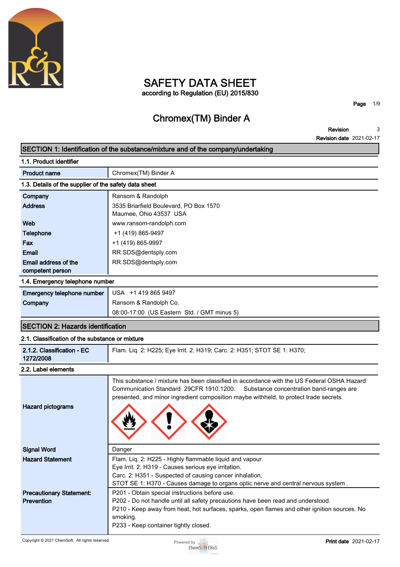

# **SAFETY DATA SHEET according to Regulation (EU) 2015/830**

**Page 1/9**

# **Chromex(TM) Binder A**

**Revision Revision date 2021-02-17 3**

| SECTION 1: Identification of the substance/mixture and of the company/undertaking |                                                                                                                 |  |  |  |
|-----------------------------------------------------------------------------------|-----------------------------------------------------------------------------------------------------------------|--|--|--|
| 1.1. Product identifier                                                           |                                                                                                                 |  |  |  |
| <b>Product name</b>                                                               | Chromex(TM) Binder A                                                                                            |  |  |  |
| 1.3. Details of the supplier of the safety data sheet                             |                                                                                                                 |  |  |  |
| Company                                                                           | Ransom & Randolph                                                                                               |  |  |  |
| <b>Address</b>                                                                    | 3535 Briarfield Boulevard, PO Box 1570                                                                          |  |  |  |
|                                                                                   | Maumee, Ohio 43537 USA                                                                                          |  |  |  |
| Web                                                                               | www.ransom-randolph.com                                                                                         |  |  |  |
| <b>Telephone</b>                                                                  | +1 (419) 865-9497                                                                                               |  |  |  |
| Fax<br>Email                                                                      | +1 (419) 865-9997                                                                                               |  |  |  |
| Email address of the                                                              | RR.SDS@dentsply.com<br>RR.SDS@dentsply.com                                                                      |  |  |  |
| competent person                                                                  |                                                                                                                 |  |  |  |
| 1.4. Emergency telephone number                                                   |                                                                                                                 |  |  |  |
| Emergency telephone number                                                        | USA +1 419 865 9497                                                                                             |  |  |  |
| Company                                                                           | Ransom & Randolph Co.                                                                                           |  |  |  |
|                                                                                   | 08:00-17:00 (US Eastern Std. / GMT minus 5)                                                                     |  |  |  |
| <b>SECTION 2: Hazards identification</b>                                          |                                                                                                                 |  |  |  |
| 2.1. Classification of the substance or mixture                                   |                                                                                                                 |  |  |  |
| 2.1.2. Classification - EC                                                        | Flam. Liq. 2: H225; Eye Irrit. 2: H319; Carc. 2: H351; STOT SE 1: H370;                                         |  |  |  |
| 1272/2008                                                                         |                                                                                                                 |  |  |  |
| 2.2. Label elements                                                               |                                                                                                                 |  |  |  |
|                                                                                   | This substance / mixture has been classified in accordance with the US Federal OSHA Hazard                      |  |  |  |
|                                                                                   | Communication Standard 29CFR 1910.1200.<br>Substance concentration band-ranges are                              |  |  |  |
|                                                                                   | presented, and minor ingredient composition maybe withheld, to protect trade secrets.                           |  |  |  |
| <b>Hazard pictograms</b>                                                          |                                                                                                                 |  |  |  |
|                                                                                   |                                                                                                                 |  |  |  |
|                                                                                   |                                                                                                                 |  |  |  |
|                                                                                   |                                                                                                                 |  |  |  |
| <b>Signal Word</b>                                                                | Danger                                                                                                          |  |  |  |
| <b>Hazard Statement</b>                                                           | Flam. Liq. 2: H225 - Highly flammable liquid and vapour.<br>Eye Irrit. 2: H319 - Causes serious eye irritation. |  |  |  |
|                                                                                   | Carc. 2: H351 - Suspected of causing cancer inhalation.                                                         |  |  |  |
|                                                                                   | STOT SE 1: H370 - Causes damage to organs optic nerve and central nervous system.                               |  |  |  |
| <b>Precautionary Statement:</b>                                                   | P201 - Obtain special instructions before use.                                                                  |  |  |  |
| Prevention                                                                        | P202 - Do not handle until all safety precautions have been read and understood.                                |  |  |  |
|                                                                                   | P210 - Keep away from heat, hot surfaces, sparks, open flames and other ignition sources. No                    |  |  |  |
|                                                                                   | smoking.<br>P233 - Keep container tightly closed.                                                               |  |  |  |
|                                                                                   |                                                                                                                 |  |  |  |

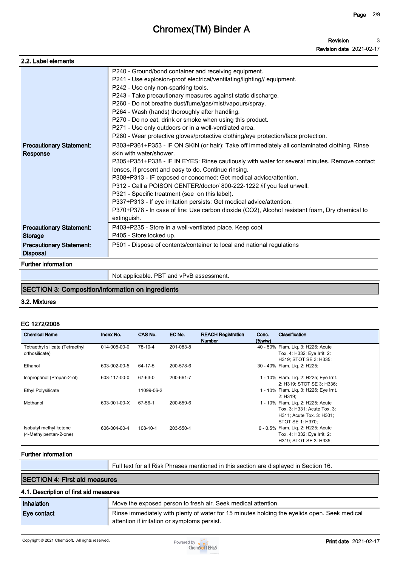| 2.2. Label elements             |                                                                                                |
|---------------------------------|------------------------------------------------------------------------------------------------|
|                                 |                                                                                                |
|                                 | P240 - Ground/bond container and receiving equipment.                                          |
|                                 | P241 - Use explosion-proof electrical/ventilating/lighting// equipment.                        |
|                                 | P242 - Use only non-sparking tools.                                                            |
|                                 | P243 - Take precautionary measures against static discharge.                                   |
|                                 | P260 - Do not breathe dust/fume/gas/mist/vapours/spray.                                        |
|                                 | P264 - Wash (hands) thoroughly after handling.                                                 |
|                                 | P270 - Do no eat, drink or smoke when using this product.                                      |
|                                 | P271 - Use only outdoors or in a well-ventilated area.                                         |
|                                 | P280 - Wear protective gloves/protective clothing/eye protection/face protection.              |
| <b>Precautionary Statement:</b> | P303+P361+P353 - IF ON SKIN (or hair): Take off immediately all contaminated clothing. Rinse   |
| <b>Response</b>                 | skin with water/shower                                                                         |
|                                 | P305+P351+P338 - IF IN EYES: Rinse cautiously with water for several minutes. Remove contact   |
|                                 | lenses, if present and easy to do. Continue rinsing.                                           |
|                                 | P308+P313 - IF exposed or concerned: Get medical advice/attention.                             |
|                                 | P312 - Call a POISON CENTER/doctor/ 800-222-1222 /if you feel unwell.                          |
|                                 | P321 - Specific treatment (see on this label).                                                 |
|                                 | P337+P313 - If eye irritation persists: Get medical advice/attention.                          |
|                                 | P370+P378 - In case of fire: Use carbon dioxide (CO2), Alcohol resistant foam, Dry chemical to |
|                                 | extinguish.                                                                                    |
| <b>Precautionary Statement:</b> | P403+P235 - Store in a well-ventilated place. Keep cool.                                       |
| <b>Storage</b>                  | P405 - Store locked up.                                                                        |
| <b>Precautionary Statement:</b> | P501 - Dispose of contents/container to local and national regulations                         |
| <b>Disposal</b>                 |                                                                                                |
|                                 |                                                                                                |
| <b>Further information</b>      |                                                                                                |
|                                 | Not applicable. PBT and vPvB assessment.                                                       |

# **SECTION 3: Composition/information on ingredients**

#### **3.2. Mixtures**

#### **EC 1272/2008**

| <b>Chemical Name</b>                              | Index No.    | CAS No.        | EC No.    | <b>REACH Registration</b><br><b>Number</b> | Conc.<br>$(\%w/w)$ | <b>Classification</b>                                                                                             |
|---------------------------------------------------|--------------|----------------|-----------|--------------------------------------------|--------------------|-------------------------------------------------------------------------------------------------------------------|
| Tetraethyl silicate (Tetraethyl<br>orthosilicate) | 014-005-00-0 | 78-10-4        | 201-083-8 |                                            |                    | 40 - 50% Flam. Lig. 3: H226; Acute<br>Tox. 4: H332; Eye Irrit. 2:<br>H319: STOT SE 3: H335:                       |
| Ethanol                                           | 603-002-00-5 | 64-17-5        | 200-578-6 |                                            |                    | 30 - 40% Flam. Lig. 2: H225;                                                                                      |
| Isopropanol (Propan-2-ol)                         | 603-117-00-0 | 67-63-0        | 200-661-7 |                                            |                    | 1 - 10% Flam. Liq. 2: H225; Eye Irrit.<br>2: H319: STOT SE 3: H336:                                               |
| Ethyl Polysilicate                                |              | 11099-06-2     |           |                                            |                    | 1 - 10% Flam. Lig. 3: H226; Eye Irrit.<br>2: H319:                                                                |
| Methanol                                          | 603-001-00-X | 67-56-1        | 200-659-6 |                                            |                    | 1 - 10% Flam. Liq. 2: H225; Acute<br>Tox. 3: H331; Acute Tox. 3:<br>H311; Acute Tox. 3: H301;<br>STOT SE 1: H370: |
| Isobutyl methyl ketone<br>(4-Methylpentan-2-one)  | 606-004-00-4 | $108 - 10 - 1$ | 203-550-1 |                                            |                    | 0 - 0.5% Flam. Lig. 2: H225; Acute<br>Tox. 4: H332; Eye Irrit. 2:<br>H319; STOT SE 3: H335;                       |

### **Further information**

**Full text for all Risk Phrases mentioned in this section are displayed in Section 16.**

# **SECTION 4: First aid measures**

# **4.1. Description of first aid measures**

| Inhalation  | Move the exposed person to fresh air. Seek medical attention.                                                                                |  |
|-------------|----------------------------------------------------------------------------------------------------------------------------------------------|--|
| Eye contact | Rinse immediately with plenty of water for 15 minutes holding the eyelids open. Seek medical<br>attention if irritation or symptoms persist. |  |

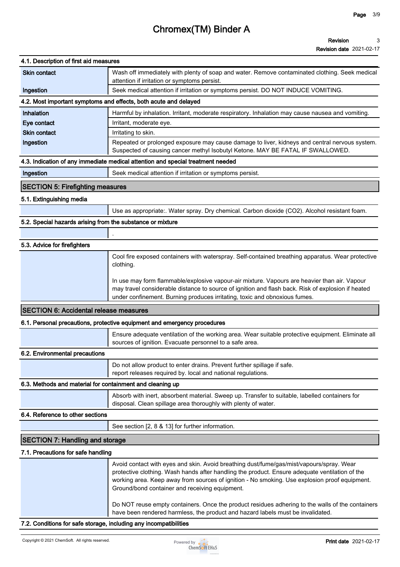| 4.1. Description of first aid measures                            |                                                                                                                                                                                                                                                                                                                                               |
|-------------------------------------------------------------------|-----------------------------------------------------------------------------------------------------------------------------------------------------------------------------------------------------------------------------------------------------------------------------------------------------------------------------------------------|
| <b>Skin contact</b>                                               | Wash off immediately with plenty of soap and water. Remove contaminated clothing. Seek medical<br>attention if irritation or symptoms persist.                                                                                                                                                                                                |
| Ingestion                                                         | Seek medical attention if irritation or symptoms persist. DO NOT INDUCE VOMITING.                                                                                                                                                                                                                                                             |
|                                                                   | 4.2. Most important symptoms and effects, both acute and delayed                                                                                                                                                                                                                                                                              |
| Inhalation                                                        | Harmful by inhalation. Irritant, moderate respiratory. Inhalation may cause nausea and vomiting.                                                                                                                                                                                                                                              |
| Eye contact                                                       | Irritant, moderate eye.                                                                                                                                                                                                                                                                                                                       |
| <b>Skin contact</b>                                               | Irritating to skin.                                                                                                                                                                                                                                                                                                                           |
| Ingestion                                                         | Repeated or prolonged exposure may cause damage to liver, kidneys and central nervous system.<br>Suspected of causing cancer methyl Isobutyl Ketone. MAY BE FATAL IF SWALLOWED.                                                                                                                                                               |
|                                                                   | 4.3. Indication of any immediate medical attention and special treatment needed                                                                                                                                                                                                                                                               |
| Ingestion                                                         | Seek medical attention if irritation or symptoms persist.                                                                                                                                                                                                                                                                                     |
| <b>SECTION 5: Firefighting measures</b>                           |                                                                                                                                                                                                                                                                                                                                               |
| 5.1. Extinguishing media                                          |                                                                                                                                                                                                                                                                                                                                               |
|                                                                   | Use as appropriate:. Water spray. Dry chemical. Carbon dioxide (CO2). Alcohol resistant foam.                                                                                                                                                                                                                                                 |
| 5.2. Special hazards arising from the substance or mixture        |                                                                                                                                                                                                                                                                                                                                               |
|                                                                   |                                                                                                                                                                                                                                                                                                                                               |
| 5.3. Advice for firefighters                                      |                                                                                                                                                                                                                                                                                                                                               |
|                                                                   | Cool fire exposed containers with waterspray. Self-contained breathing apparatus. Wear protective<br>clothing.                                                                                                                                                                                                                                |
|                                                                   | In use may form flammable/explosive vapour-air mixture. Vapours are heavier than air. Vapour<br>may travel considerable distance to source of ignition and flash back. Risk of explosion if heated<br>under confinement. Burning produces irritating, toxic and obnoxious fumes.                                                              |
| <b>SECTION 6: Accidental release measures</b>                     |                                                                                                                                                                                                                                                                                                                                               |
|                                                                   | 6.1. Personal precautions, protective equipment and emergency procedures                                                                                                                                                                                                                                                                      |
|                                                                   | Ensure adequate ventilation of the working area. Wear suitable protective equipment. Eliminate all<br>sources of ignition. Evacuate personnel to a safe area.                                                                                                                                                                                 |
| 6.2. Environmental precautions                                    |                                                                                                                                                                                                                                                                                                                                               |
|                                                                   | Do not allow product to enter drains. Prevent further spillage if safe.<br>report releases required by. local and national regulations.                                                                                                                                                                                                       |
| 6.3. Methods and material for containment and cleaning up         |                                                                                                                                                                                                                                                                                                                                               |
|                                                                   | Absorb with inert, absorbent material. Sweep up. Transfer to suitable, labelled containers for<br>disposal. Clean spillage area thoroughly with plenty of water.                                                                                                                                                                              |
| 6.4. Reference to other sections                                  |                                                                                                                                                                                                                                                                                                                                               |
|                                                                   | See section [2, 8 & 13] for further information.                                                                                                                                                                                                                                                                                              |
| <b>SECTION 7: Handling and storage</b>                            |                                                                                                                                                                                                                                                                                                                                               |
| 7.1. Precautions for safe handling                                |                                                                                                                                                                                                                                                                                                                                               |
|                                                                   | Avoid contact with eyes and skin. Avoid breathing dust/fume/gas/mist/vapours/spray. Wear<br>protective clothing. Wash hands after handling the product. Ensure adequate ventilation of the<br>working area. Keep away from sources of ignition - No smoking. Use explosion proof equipment.<br>Ground/bond container and receiving equipment. |
|                                                                   | Do NOT reuse empty containers. Once the product residues adhering to the walls of the containers<br>have been rendered harmless, the product and hazard labels must be invalidated.                                                                                                                                                           |
| 7.2. Conditions for safe storage, including any incompatibilities |                                                                                                                                                                                                                                                                                                                                               |

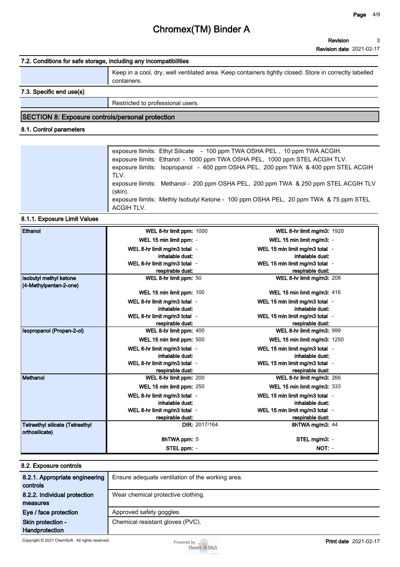#### **Revision date 2021-02-17**

### **7.2. Conditions for safe storage, including any incompatibilities**

|                          | Keep in a cool, dry, well ventilated area. Keep containers tightly closed. Store in correctly labelled<br>containers. |  |
|--------------------------|-----------------------------------------------------------------------------------------------------------------------|--|
| 7.3. Specific end use(s) |                                                                                                                       |  |
|                          | Restricted to professional users.                                                                                     |  |

# **SECTION 8: Exposure controls/personal protection**

### **8.1. Control parameters**

| exposure llimits: Ethyl Silicate - 100 ppm TWA OSHA PEL, 10 ppm TWA ACGIH.<br>exposure llimits: Ethanol - 1000 ppm TWA OSHA PEL, 1000 ppm STEL ACGIH TLV.<br>exposure llimits: Isopropanol - 400 ppm OSHA PEL, 200 ppm TWA & 400 ppm STEL ACGIH<br>TLV. |
|---------------------------------------------------------------------------------------------------------------------------------------------------------------------------------------------------------------------------------------------------------|
| exposure llimits: Methanol - 200 ppm OSHA PEL, 200 ppm TWA & 250 ppm STEL ACGIH TLV<br>(skin).<br>exposure llimits: Methly Isobutyl Ketone - 100 ppm OSHA PEL, 20 ppm TWA & 75 ppm STEL<br>ACGIH TLV.                                                   |

### **8.1.1. Exposure Limit Values**

| Ethanol                                | WEL 8-hr limit ppm: 1000                         | WEL 8-hr limit mg/m3: 1920                         |
|----------------------------------------|--------------------------------------------------|----------------------------------------------------|
|                                        | WEL 15 min limit ppm: -                          | WEL 15 min limit mg/m3: -                          |
|                                        | WEL 8-hr limit mg/m3 total -                     | WEL 15 min limit mg/m3 total -                     |
|                                        | inhalable dust:                                  | inhalable dust:                                    |
|                                        | WEL 8-hr limit mg/m3 total -                     | WEL 15 min limit mg/m3 total -                     |
|                                        | respirable dust:                                 | respirable dust:                                   |
| <b>Isobutyl methyl ketone</b>          | WEL 8-hr limit ppm: 50                           | WEL 8-hr limit mg/m3: 208                          |
| (4-Methylpentan-2-one)                 |                                                  |                                                    |
|                                        | WEL 15 min limit ppm: 100                        | WEL 15 min limit mg/m3: 416                        |
|                                        | WEL 8-hr limit mg/m3 total -                     | WEL 15 min limit mg/m3 total -                     |
|                                        | inhalable dust:                                  | inhalable dust:                                    |
|                                        | WEL 8-hr limit mg/m3 total -<br>respirable dust: | WEL 15 min limit mg/m3 total -<br>respirable dust: |
| Isopropanol (Propan-2-ol)              | WEL 8-hr limit ppm: 400                          | WEL 8-hr limit mg/m3: 999                          |
|                                        | WEL 15 min limit ppm: 500                        | WEL 15 min limit mg/m3: 1250                       |
|                                        | WEL 8-hr limit mg/m3 total -                     | WEL 15 min limit mg/m3 total -                     |
|                                        | inhalable dust:                                  | inhalable dust:                                    |
|                                        | WEL 8-hr limit mg/m3 total -                     | WEL 15 min limit mg/m3 total -                     |
|                                        | respirable dust:                                 | respirable dust:                                   |
| Methanol                               | WEL 8-hr limit ppm: 200                          | WEL 8-hr limit mg/m3: 266                          |
|                                        | WEL 15 min limit ppm: 250                        | WEL 15 min limit mg/m3: 333                        |
|                                        | WEL 8-hr limit mg/m3 total -                     | WEL 15 min limit mg/m3 total -                     |
|                                        | inhalable dust:                                  | inhalable dust:                                    |
|                                        | WEL 8-hr limit mg/m3 total -                     | WEL 15 min limit mg/m3 total -                     |
|                                        | respirable dust:                                 | respirable dust:                                   |
| <b>Tetraethyl silicate (Tetraethyl</b> | DIR: 2017/164                                    | 8hTWA mg/m3: 44                                    |
| orthosilicate)                         | 8hTWA ppm: 5                                     | STEL mg/m3: -                                      |
|                                        | STEL ppm: -                                      | NOT: -                                             |

### **8.2. Exposure controls**

| 8.2.1. Appropriate engineering<br>controls | Ensure adequate ventilation of the working area. |  |
|--------------------------------------------|--------------------------------------------------|--|
| 8.2.2. Individual protection               | Wear chemical protective clothing.               |  |
| measures                                   |                                                  |  |
| Eye / face protection                      | Approved safety goggles.                         |  |
| Skin protection -                          | Chemical resistant gloves (PVC).                 |  |
| <b>Handprotection</b>                      |                                                  |  |

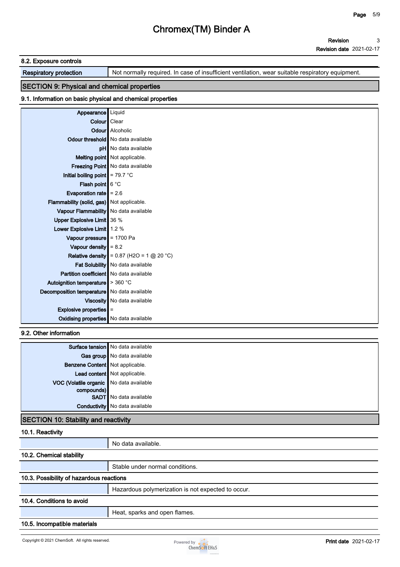#### **8.2. Exposure controls**

**Respiratory protection Not normally required. In case of insufficient ventilation, wear suitable respiratory equipment.** 

# **SECTION 9: Physical and chemical properties**

#### **9.1. Information on basic physical and chemical properties**

| Appearance   Liquid                                   |                                         |
|-------------------------------------------------------|-----------------------------------------|
| <b>Colour</b> Clear                                   |                                         |
|                                                       | <b>Odour</b> Alcoholic                  |
|                                                       | Odour threshold   No data available     |
|                                                       | <b>pH</b> No data available             |
|                                                       | Melting point Not applicable.           |
|                                                       | <b>Freezing Point</b> No data available |
| Initial boiling point $\parallel$ = 79.7 °C           |                                         |
| Flash point $6^{\circ}$ C                             |                                         |
| Evaporation rate $\vert$ = 2.6                        |                                         |
| Flammability (solid, gas) Not applicable.             |                                         |
| Vapour Flammability   No data available               |                                         |
| Upper Explosive Limit   36 %                          |                                         |
| Lower Explosive Limit 1.2 %                           |                                         |
| Vapour pressure $\parallel$ = 1700 Pa                 |                                         |
| Vapour density $\vert = 8.2 \vert$                    |                                         |
| Relative density                                      | $= 0.87$ (H2O = 1 @ 20 °C)              |
|                                                       | Fat Solubility   No data available      |
| <b>Partition coefficient</b> No data available        |                                         |
| Autoignition temperature $\blacktriangleright$ 360 °C |                                         |
| Decomposition temperature   No data available         |                                         |
|                                                       | Viscosity   No data available           |
| Explosive properties                                  | Ξ                                       |
| <b>Oxidising properties</b> No data available         |                                         |

#### **9.2. Other information**

|                                         | Surface tension   No data available   |
|-----------------------------------------|---------------------------------------|
|                                         | Gas group   No data available         |
| <b>Benzene Content</b> Not applicable.  |                                       |
|                                         | Lead content   Not applicable.        |
| VOC (Volatile organic No data available |                                       |
| compounds)                              |                                       |
|                                         | <b>SADT</b> No data available         |
|                                         | <b>Conductivity</b> No data available |

### **SECTION 10: Stability and reactivity**

| 10.1. Reactivity                         |                                                    |  |
|------------------------------------------|----------------------------------------------------|--|
|                                          | No data available.                                 |  |
| 10.2. Chemical stability                 |                                                    |  |
|                                          | Stable under normal conditions.                    |  |
| 10.3. Possibility of hazardous reactions |                                                    |  |
|                                          | Hazardous polymerization is not expected to occur. |  |
| 10.4. Conditions to avoid                |                                                    |  |
|                                          | Heat, sparks and open flames.                      |  |
| 10.5. Incompatible materials             |                                                    |  |

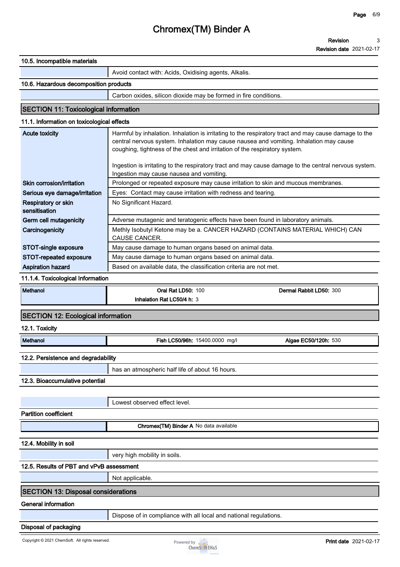|                                              | <b>Revision date 2021-02-17</b>                                                                      |
|----------------------------------------------|------------------------------------------------------------------------------------------------------|
| 10.5. Incompatible materials                 |                                                                                                      |
|                                              | Avoid contact with: Acids, Oxidising agents, Alkalis.                                                |
| 10.6. Hazardous decomposition products       |                                                                                                      |
|                                              | Carbon oxides, silicon dioxide may be formed in fire conditions.                                     |
| <b>SECTION 11: Toxicological information</b> |                                                                                                      |
| 11.1. Information on toxicological effects   |                                                                                                      |
| <b>Acute toxicity</b>                        | Harmful by inhalation. Inhalation is irritating to the respiratory tract and may cause damage to the |
|                                              | central nervous system. Inhalation may cause nausea and vomiting. Inhalation may cause               |
|                                              | coughing, tightness of the chest and irritation of the respiratory system.                           |
|                                              | Ingestion is irritating to the respiratory tract and may cause damage to the central nervous system. |
|                                              | Ingestion may cause nausea and vomiting.                                                             |
| Skin corrosion/irritation                    | Prolonged or repeated exposure may cause irritation to skin and mucous membranes.                    |
| Serious eye damage/irritation                | Eyes: Contact may cause irritation with redness and tearing.                                         |
| Respiratory or skin<br>sensitisation         | No Significant Hazard.                                                                               |
| Germ cell mutagenicity                       | Adverse mutagenic and teratogenic effects have been found in laboratory animals.                     |
| Carcinogenicity                              | Methly Isobutyl Ketone may be a. CANCER HAZARD (CONTAINS MATERIAL WHICH) CAN<br>CAUSE CANCER.        |
| STOT-single exposure                         | May cause damage to human organs based on animal data.                                               |
| STOT-repeated exposure                       | May cause damage to human organs based on animal data.                                               |
| <b>Aspiration hazard</b>                     | Based on available data, the classification criteria are not met.                                    |
| 11.1.4. Toxicological Information            |                                                                                                      |
| <b>Methanol</b>                              | <b>Oral Rat LD50: 100</b><br>Dermal Rabbit LD50: 300                                                 |
|                                              | Inhalation Rat LC50/4 h: 3                                                                           |
| <b>SECTION 12: Ecological information</b>    |                                                                                                      |
| 12.1. Toxicity                               |                                                                                                      |
| Methanol                                     | Fish LC50/96h: 15400.0000 mg/l<br>Algae EC50/120h: 530                                               |
| 12.2. Persistence and degradability          |                                                                                                      |
|                                              | has an atmospheric half life of about 16 hours.                                                      |
| 12.3. Bioaccumulative potential              |                                                                                                      |
|                                              |                                                                                                      |
|                                              | Lowest observed effect level.                                                                        |
| <b>Partition coefficient</b>                 |                                                                                                      |
|                                              | Chromex(TM) Binder A No data available                                                               |
|                                              |                                                                                                      |
| 12.4. Mobility in soil                       |                                                                                                      |
|                                              | very high mobility in soils.                                                                         |
| 12.5. Results of PBT and vPvB assessment     |                                                                                                      |
|                                              | Not applicable.                                                                                      |
| <b>SECTION 13: Disposal considerations</b>   |                                                                                                      |
| <b>General information</b>                   |                                                                                                      |
|                                              | Dispose of in compliance with all local and national regulations.                                    |

#### **Disposal of packaging**

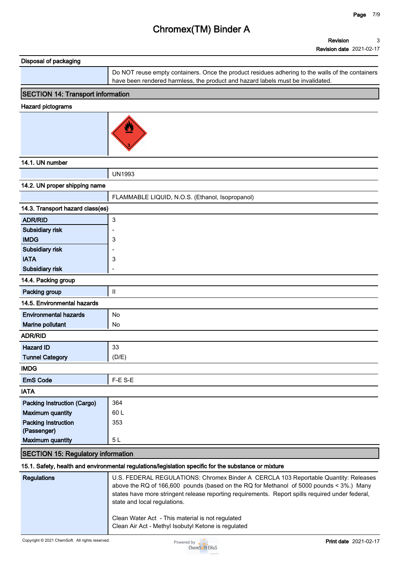| Disposal of packaging |                                                                                                  |
|-----------------------|--------------------------------------------------------------------------------------------------|
|                       | Do NOT reuse empty containers. Once the product residues adhering to the walls of the containers |
|                       | have been rendered harmless, the product and hazard labels must be invalidated.                  |

## **SECTION 14: Transport information**

#### **Hazard pictograms**



### **14.1. UN number**

|                                           | <b>UN1993</b>                                   |  |
|-------------------------------------------|-------------------------------------------------|--|
| 14.2. UN proper shipping name             |                                                 |  |
|                                           | FLAMMABLE LIQUID, N.O.S. (Ethanol, Isopropanol) |  |
| 14.3. Transport hazard class(es)          |                                                 |  |
| <b>ADR/RID</b>                            | 3                                               |  |
| Subsidiary risk                           | $\overline{\phantom{a}}$                        |  |
| <b>IMDG</b>                               | 3                                               |  |
| Subsidiary risk                           |                                                 |  |
| <b>IATA</b>                               | 3                                               |  |
| Subsidiary risk                           | ÷                                               |  |
| 14.4. Packing group                       |                                                 |  |
| Packing group                             | $\mathsf{I}$                                    |  |
| 14.5. Environmental hazards               |                                                 |  |
| <b>Environmental hazards</b>              | No                                              |  |
| Marine pollutant                          | No                                              |  |
| <b>ADR/RID</b>                            |                                                 |  |
| <b>Hazard ID</b>                          | 33                                              |  |
| <b>Tunnel Category</b>                    | (D/E)                                           |  |
| <b>IMDG</b>                               |                                                 |  |
| <b>EmS Code</b>                           | F-E S-E                                         |  |
| <b>IATA</b>                               |                                                 |  |
| Packing Instruction (Cargo)               | 364                                             |  |
| <b>Maximum quantity</b>                   | 60L                                             |  |
| <b>Packing Instruction</b>                | 353                                             |  |
| (Passenger)                               |                                                 |  |
| <b>Maximum quantity</b>                   | 5L                                              |  |
| <b>SECTION 15: Regulatory information</b> |                                                 |  |

### **15.1. Safety, health and environmental regulations/legislation specific for the substance or mixture**

| Regulations | U.S. FEDERAL REGULATIONS: Chromex Binder A CERCLA 103 Reportable Quantity: Releases<br>above the RQ of 166,600 pounds (based on the RQ for Methanol of 5000 pounds < 3%.) Many<br>states have more stringent release reporting requirements. Report spills required under federal,<br>state and local regulations. |
|-------------|--------------------------------------------------------------------------------------------------------------------------------------------------------------------------------------------------------------------------------------------------------------------------------------------------------------------|
|             | Clean Water Act - This material is not regulated<br>Clean Air Act - Methyl Isobutyl Ketone is regulated                                                                                                                                                                                                            |

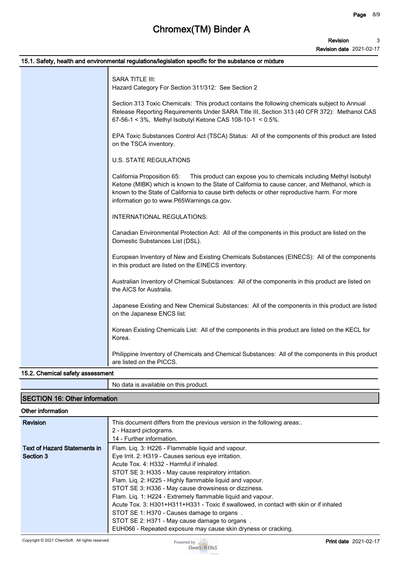| 15.1. Safety, health and environmental regulations/legislation specific for the substance or mixture                                                                                                                                                                                                                                             |
|--------------------------------------------------------------------------------------------------------------------------------------------------------------------------------------------------------------------------------------------------------------------------------------------------------------------------------------------------|
| <b>SARA TITLE III:</b><br>Hazard Category For Section 311/312: See Section 2                                                                                                                                                                                                                                                                     |
| Section 313 Toxic Chemicals: This product contains the following chemicals subject to Annual<br>Release Reporting Requirements Under SARA Title III, Section 313 (40 CFR 372): Methanol CAS<br>67-56-1 < 3%, Methyl Isobutyl Ketone CAS 108-10-1 < 0.5%.                                                                                         |
| EPA Toxic Substances Control Act (TSCA) Status: All of the components of this product are listed<br>on the TSCA inventory.                                                                                                                                                                                                                       |
| <b>U.S. STATE REGULATIONS</b>                                                                                                                                                                                                                                                                                                                    |
| California Proposition 65:<br>This product can expose you to chemicals including Methyl Isobutyl<br>Ketone (MIBK) which is known to the State of California to cause cancer, and Methanol, which is<br>known to the State of California to cause birth defects or other reproductive harm. For more<br>information go to www.P65Warnings.ca.gov. |
| INTERNATIONAL REGULATIONS:                                                                                                                                                                                                                                                                                                                       |
| Canadian Environmental Protection Act: All of the components in this product are listed on the<br>Domestic Substances List (DSL).                                                                                                                                                                                                                |
| European Inventory of New and Existing Chemicals Substances (EINECS): All of the components<br>in this product are listed on the EINECS inventory.                                                                                                                                                                                               |
| Australian Inventory of Chemical Substances: All of the components in this product are listed on<br>the AICS for Australia.                                                                                                                                                                                                                      |
| Japanese Existing and New Chemical Substances: All of the components in this product are listed<br>on the Japanese ENCS list.                                                                                                                                                                                                                    |
| Korean Existing Chemicals List: All of the components in this product are listed on the KECL for<br>Korea.                                                                                                                                                                                                                                       |
| Philippine Inventory of Chemicals and Chemical Substances: All of the components in this product<br>are listed on the PICCS.                                                                                                                                                                                                                     |

## **15.2. Chemical safety assessment**

|                                      | No data is available on this product. |
|--------------------------------------|---------------------------------------|
| <b>SECTION 16: Other information</b> |                                       |

### **Other information**

| <b>Revision</b>                     |                                                                                       |
|-------------------------------------|---------------------------------------------------------------------------------------|
|                                     | This document differs from the previous version in the following areas                |
|                                     | 2 - Hazard pictograms.                                                                |
|                                     | 14 - Further information.                                                             |
| <b>Text of Hazard Statements in</b> | Flam. Lig. 3: H226 - Flammable liguid and vapour.                                     |
| Section 3                           | Eye Irrit. 2: H319 - Causes serious eye irritation.                                   |
|                                     | Acute Tox, 4: H332 - Harmful if inhaled.                                              |
|                                     | STOT SE 3: H335 - May cause respiratory irritation.                                   |
|                                     | Flam. Liq. 2: H225 - Highly flammable liquid and vapour.                              |
|                                     | STOT SE 3: H336 - May cause drowsiness or dizziness.                                  |
|                                     | Flam. Liq. 1: H224 - Extremely flammable liquid and vapour.                           |
|                                     | Acute Tox. 3: H301+H311+H331 - Toxic if swallowed, in contact with skin or if inhaled |
|                                     | STOT SE 1: H370 - Causes damage to organs                                             |
|                                     | STOT SE 2: H371 - May cause damage to organs.                                         |
|                                     | EUH066 - Repeated exposure may cause skin dryness or cracking.                        |